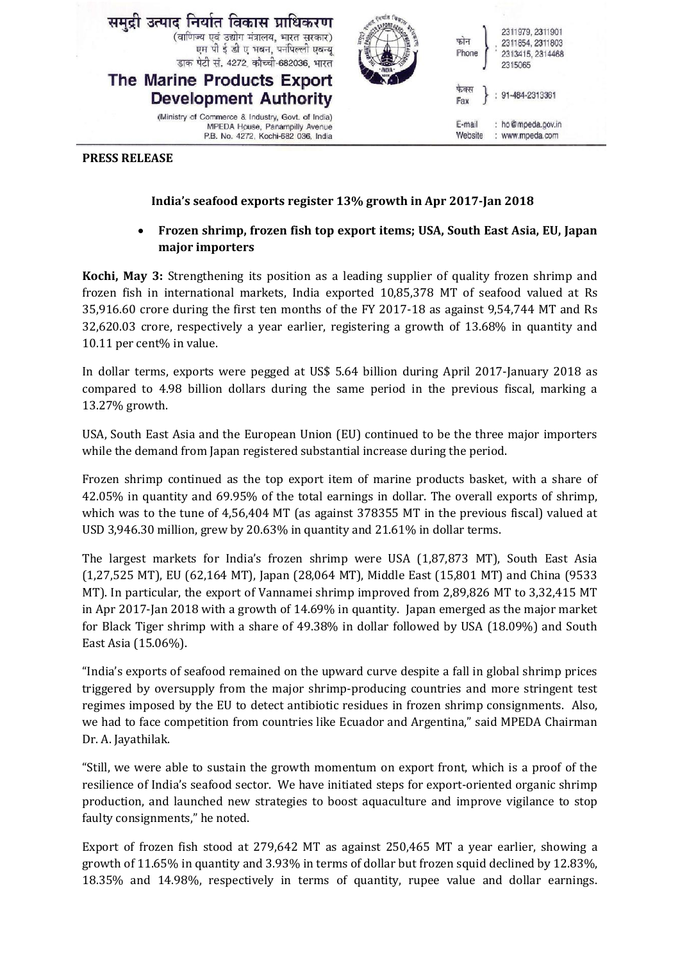

## **PRESS RELEASE**

## **India's seafood exports register 13% growth in Apr 2017-Jan 2018**

## **Frozen shrimp, frozen fish top export items; USA, South East Asia, EU, Japan major importers**

**Kochi, May 3:** Strengthening its position as a leading supplier of quality frozen shrimp and frozen fish in international markets, India exported 10,85,378 MT of seafood valued at Rs 35,916.60 crore during the first ten months of the FY 2017-18 as against 9,54,744 MT and Rs 32,620.03 crore, respectively a year earlier, registering a growth of 13.68% in quantity and 10.11 per cent% in value.

In dollar terms, exports were pegged at US\$ 5.64 billion during April 2017-January 2018 as compared to 4.98 billion dollars during the same period in the previous fiscal, marking a 13.27% growth.

USA, South East Asia and the European Union (EU) continued to be the three major importers while the demand from Japan registered substantial increase during the period.

Frozen shrimp continued as the top export item of marine products basket, with a share of 42.05% in quantity and 69.95% of the total earnings in dollar. The overall exports of shrimp, which was to the tune of 4,56,404 MT (as against 378355 MT in the previous fiscal) valued at USD 3,946.30 million, grew by 20.63% in quantity and 21.61% in dollar terms.

The largest markets for India's frozen shrimp were USA (1,87,873 MT), South East Asia (1,27,525 MT), EU (62,164 MT), Japan (28,064 MT), Middle East (15,801 MT) and China (9533 MT). In particular, the export of Vannamei shrimp improved from 2,89,826 MT to 3,32,415 MT in Apr 2017-Jan 2018 with a growth of 14.69% in quantity. Japan emerged as the major market for Black Tiger shrimp with a share of 49.38% in dollar followed by USA (18.09%) and South East Asia (15.06%).

"India's exports of seafood remained on the upward curve despite a fall in global shrimp prices triggered by oversupply from the major shrimp-producing countries and more stringent test regimes imposed by the EU to detect antibiotic residues in frozen shrimp consignments. Also, we had to face competition from countries like Ecuador and Argentina," said MPEDA Chairman Dr. A. Jayathilak.

"Still, we were able to sustain the growth momentum on export front, which is a proof of the resilience of India's seafood sector. We have initiated steps for export-oriented organic shrimp production, and launched new strategies to boost aquaculture and improve vigilance to stop faulty consignments," he noted.

Export of frozen fish stood at 279,642 MT as against 250,465 MT a year earlier, showing a growth of 11.65% in quantity and 3.93% in terms of dollar but frozen squid declined by 12.83%, 18.35% and 14.98%, respectively in terms of quantity, rupee value and dollar earnings.